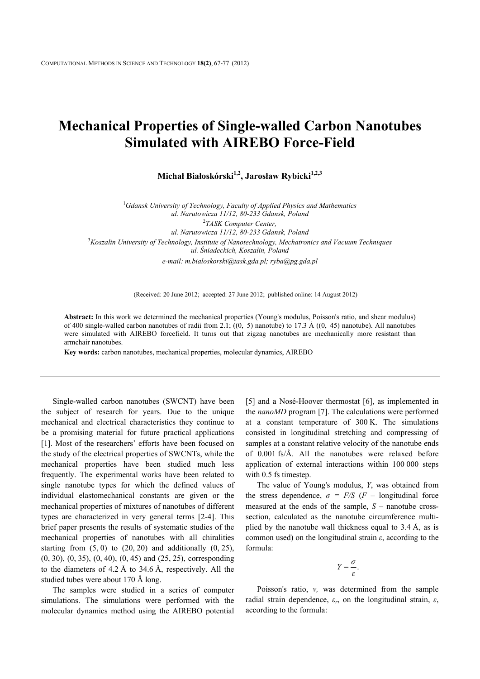## **Mechanical Properties of Single-walled Carbon Nanotubes Simulated with AIREBO Force-Field**

**Michał Białoskórski1,2, Jarosław Rybicki1,2,3**

1 *Gdansk University of Technology, Faculty of Applied Physics and Mathematics ul. Narutowicza 11/12, 80-233 Gdansk, Poland* 2 *TASK Computer Center, ul. Narutowicza 11/12, 80-233 Gdansk, Poland* 3 *Koszalin University of Technology, Institute of Nanotechnology, Mechatronics and Vacuum Techniques ul. Śniadeckich, Koszalin, Poland e-mail: m.bialoskorski@task.gda.pl; ryba@pg.gda.pl*

(Received: 20 June 2012; accepted: 27 June 2012; published online: 14 August 2012)

**Abstract:** In this work we determined the mechanical properties (Young's modulus, Poisson's ratio, and shear modulus) of 400 single-walled carbon nanotubes of radii from 2.1;  $((0, 5)$  nanotube) to 17.3 Å  $((0, 45)$  nanotube). All nanotubes were simulated with AIREBO forcefield. It turns out that zigzag nanotubes are mechanically more resistant than armchair nanotubes.

**Key words:** carbon nanotubes, mechanical properties, molecular dynamics, AIREBO

Single-walled carbon nanotubes (SWCNT) have been the subject of research for years. Due to the unique mechanical and electrical characteristics they continue to be a promising material for future practical applications [1]. Most of the researchers' efforts have been focused on the study of the electrical properties of SWCNTs, while the mechanical properties have been studied much less frequently. The experimental works have been related to single nanotube types for which the defined values of individual elastomechanical constants are given or the mechanical properties of mixtures of nanotubes of different types are characterized in very general terms [2-4]. This brief paper presents the results of systematic studies of the mechanical properties of nanotubes with all chiralities starting from  $(5, 0)$  to  $(20, 20)$  and additionally  $(0, 25)$ , (0, 30), (0, 35), (0, 40), (0, 45) and (25, 25), corresponding to the diameters of 4.2 Å to 34.6 Å, respectively. All the studied tubes were about 170 Å long.

The samples were studied in a series of computer simulations. The simulations were performed with the molecular dynamics method using the AIREBO potential [5] and a Nosé-Hoover thermostat [6], as implemented in the *nanoMD* program [7]. The calculations were performed at a constant temperature of 300 K. The simulations consisted in longitudinal stretching and compressing of samples at a constant relative velocity of the nanotube ends of 0.001 fs/Å. All the nanotubes were relaxed before application of external interactions within 100 000 steps with  $0.5$  fs timestep.

The value of Young's modulus, *Y*, was obtained from the stress dependence,  $\sigma = F/S$  (*F* – longitudinal force measured at the ends of the sample, *S* – nanotube crosssection, calculated as the nanotube circumference multiplied by the nanotube wall thickness equal to  $3.4 \text{ Å}$ , as is common used) on the longitudinal strain *ε*, according to the formula:

$$
Y=\frac{\sigma}{\varepsilon}.
$$

Poisson's ratio, *ν,* was determined from the sample radial strain dependence, *εr*, on the longitudinal strain, *ε*, according to the formula: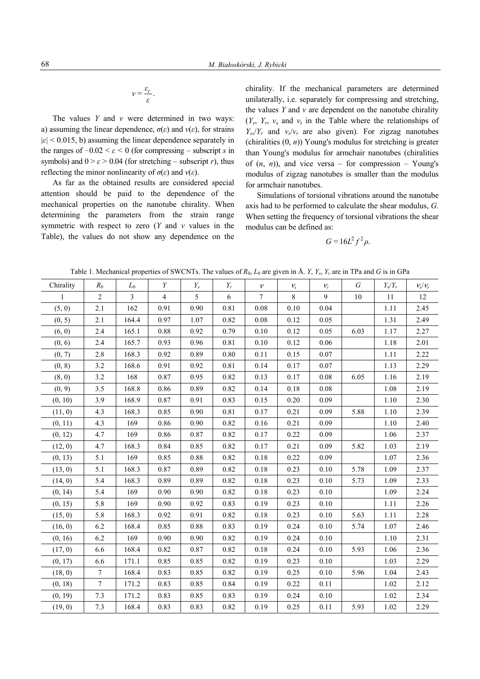$$
v = \frac{\varepsilon_r}{\varepsilon}.
$$

The values *Y* and *ν* were determined in two ways: a) assuming the linear dependence,  $\sigma(\varepsilon)$  and  $v(\varepsilon)$ , for strains  $|\varepsilon|$  < 0.015, b) assuming the linear dependence separately in the ranges of  $-0.02 < \varepsilon < 0$  (for compressing – subscript *s* in symbols) and  $0 > \varepsilon > 0.04$  (for stretching – subscript *r*), thus reflecting the minor nonlinearity of *σ*(*ε*) and *ν*(*ε*).

As far as the obtained results are considered special attention should be paid to the dependence of the mechanical properties on the nanotube chirality. When determining the parameters from the strain range symmetric with respect to zero (*Y* and *ν* values in the Table), the values do not show any dependence on the chirality. If the mechanical parameters are determined unilaterally, i.e. separately for compressing and stretching, the values *Y* and *ν* are dependent on the nanotube chirality  $(Y_s, Y_r, Y_s$  and  $Y_r$  in the Table where the relationships of  $Y_s/Y_r$  and  $v_s/v_r$  are also given). For zigzag nanotubes (chiralities (0, *n*)) Young's modulus for stretching is greater than Young's modulus for armchair nanotubes (chiralities of  $(n, n)$ , and vice versa – for compression – Young's modulus of zigzag nanotubes is smaller than the modulus for armchair nanotubes.

Simulations of torsional vibrations around the nanotube axis had to be performed to calculate the shear modulus, *G.* When setting the frequency of torsional vibrations the shear modulus can be defined as:

$$
G=16L^2f^2\rho.
$$

| Table 1. Mechanical properties of SWCNTs. The values of $R_0$ , $L_0$ are given in Å. Y, $Y_s$ , $Y_s$ , are in TPa and G is in GPa |  |  |
|-------------------------------------------------------------------------------------------------------------------------------------|--|--|
|-------------------------------------------------------------------------------------------------------------------------------------|--|--|

| Chirality    | $R_0$          | $L_0$          | Y              | $Y_s$ | $Y_r$ | $\mathcal{V}$  | $V_{S}$ | $V_r$    | $\cal G$ | $Y_s/Y_r$ | $V_s/V_r$ |
|--------------|----------------|----------------|----------------|-------|-------|----------------|---------|----------|----------|-----------|-----------|
| $\mathbf{1}$ | $\overline{2}$ | $\overline{3}$ | $\overline{4}$ | 5     | 6     | $\overline{7}$ | 8       | 9        | 10       | 11        | 12        |
| (5, 0)       | 2.1            | 162            | 0.91           | 0.90  | 0.81  | 0.08           | 0.10    | 0.04     |          | 1.11      | 2.45      |
| (0, 5)       | 2.1            | 164.4          | 0.97           | 1.07  | 0.82  | 0.08           | 0.12    | 0.05     |          | 1.31      | 2.49      |
| (6, 0)       | 2.4            | 165.1          | 0.88           | 0.92  | 0.79  | 0.10           | 0.12    | 0.05     | 6.03     | 1.17      | 2.27      |
| (0, 6)       | 2.4            | 165.7          | 0.93           | 0.96  | 0.81  | 0.10           | 0.12    | 0.06     |          | 1.18      | 2.01      |
| (0, 7)       | 2.8            | 168.3          | 0.92           | 0.89  | 0.80  | 0.11           | 0.15    | 0.07     |          | 1.11      | 2.22      |
| (0, 8)       | $3.2$          | 168.6          | 0.91           | 0.92  | 0.81  | 0.14           | 0.17    | 0.07     |          | 1.13      | 2.29      |
| (8, 0)       | 3.2            | 168            | 0.87           | 0.95  | 0.82  | 0.13           | 0.17    | 0.08     | 6.05     | 1.16      | 2.19      |
| (0, 9)       | 3.5            | 168.8          | 0.86           | 0.89  | 0.82  | 0.14           | 0.18    | 0.08     |          | 1.08      | 2.19      |
| (0, 10)      | 3.9            | 168.9          | 0.87           | 0.91  | 0.83  | 0.15           | 0.20    | 0.09     |          | 1.10      | 2.30      |
| (11, 0)      | 4.3            | 168.3          | 0.85           | 0.90  | 0.81  | 0.17           | 0.21    | 0.09     | 5.88     | 1.10      | 2.39      |
| (0, 11)      | 4.3            | 169            | 0.86           | 0.90  | 0.82  | 0.16           | 0.21    | 0.09     |          | 1.10      | 2.40      |
| (0, 12)      | 4.7            | 169            | 0.86           | 0.87  | 0.82  | 0.17           | 0.22    | 0.09     |          | 1.06      | 2.37      |
| (12, 0)      | 4.7            | 168.3          | 0.84           | 0.85  | 0.82  | 0.17           | 0.21    | 0.09     | 5.82     | 1.03      | 2.19      |
| (0, 13)      | 5.1            | 169            | 0.85           | 0.88  | 0.82  | 0.18           | 0.22    | 0.09     |          | 1.07      | 2.36      |
| (13, 0)      | 5.1            | 168.3          | 0.87           | 0.89  | 0.82  | 0.18           | 0.23    | 0.10     | 5.78     | 1.09      | 2.37      |
| (14, 0)      | 5.4            | 168.3          | 0.89           | 0.89  | 0.82  | $0.18\,$       | 0.23    | 0.10     | 5.73     | 1.09      | 2.33      |
| (0, 14)      | 5.4            | 169            | 0.90           | 0.90  | 0.82  | 0.18           | 0.23    | 0.10     |          | 1.09      | 2.24      |
| (0, 15)      | 5.8            | 169            | 0.90           | 0.92  | 0.83  | 0.19           | 0.23    | 0.10     |          | 1.11      | 2.26      |
| (15, 0)      | 5.8            | 168.3          | 0.92           | 0.91  | 0.82  | 0.18           | 0.23    | 0.10     | 5.63     | 1.11      | 2.28      |
| (16, 0)      | 6.2            | 168.4          | 0.85           | 0.88  | 0.83  | 0.19           | 0.24    | 0.10     | 5.74     | 1.07      | 2.46      |
| (0, 16)      | 6.2            | 169            | 0.90           | 0.90  | 0.82  | 0.19           | 0.24    | 0.10     |          | 1.10      | 2.31      |
| (17, 0)      | 6.6            | 168.4          | 0.82           | 0.87  | 0.82  | 0.18           | 0.24    | 0.10     | 5.93     | 1.06      | 2.36      |
| (0, 17)      | 6.6            | 171.1          | 0.85           | 0.85  | 0.82  | 0.19           | 0.23    | 0.10     |          | 1.03      | 2.29      |
| (18, 0)      | $\overline{7}$ | 168.4          | 0.83           | 0.85  | 0.82  | 0.19           | 0.25    | 0.10     | 5.96     | 1.04      | 2.43      |
| (0, 18)      | $\overline{7}$ | 171.2          | 0.83           | 0.85  | 0.84  | 0.19           | 0.22    | 0.11     |          | 1.02      | 2.12      |
| (0, 19)      | 7.3            | 171.2          | 0.83           | 0.85  | 0.83  | 0.19           | 0.24    | $0.10\,$ |          | 1.02      | 2.34      |
| (19, 0)      | 7.3            | 168.4          | 0.83           | 0.83  | 0.82  | 0.19           | 0.25    | $0.11\,$ | 5.93     | 1.02      | 2.29      |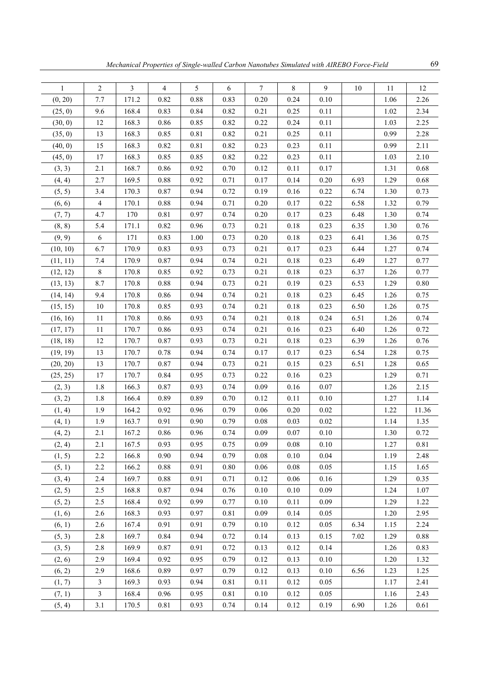| $\mathbf{1}$ | $\boldsymbol{2}$ | $\mathfrak{Z}$ | $\overline{4}$ | 5    | 6    | 7        | 8        | 9    | 10   | 11   | 12    |
|--------------|------------------|----------------|----------------|------|------|----------|----------|------|------|------|-------|
| (0, 20)      | 7.7              | 171.2          | 0.82           | 0.88 | 0.83 | 0.20     | 0.24     | 0.10 |      | 1.06 | 2.26  |
| (25, 0)      | 9.6              | 168.4          | 0.83           | 0.84 | 0.82 | 0.21     | 0.25     | 0.11 |      | 1.02 | 2.34  |
| (30, 0)      | 12               | 168.3          | 0.86           | 0.85 | 0.82 | 0.22     | 0.24     | 0.11 |      | 1.03 | 2.25  |
| (35, 0)      | 13               | 168.3          | 0.85           | 0.81 | 0.82 | 0.21     | 0.25     | 0.11 |      | 0.99 | 2.28  |
| (40, 0)      | 15               | 168.3          | 0.82           | 0.81 | 0.82 | 0.23     | 0.23     | 0.11 |      | 0.99 | 2.11  |
| (45, 0)      | 17               | 168.3          | 0.85           | 0.85 | 0.82 | 0.22     | 0.23     | 0.11 |      | 1.03 | 2.10  |
| (3, 3)       | 2.1              | 168.7          | 0.86           | 0.92 | 0.70 | 0.12     | 0.11     | 0.17 |      | 1.31 | 0.68  |
| (4, 4)       | 2.7              | 169.5          | 0.88           | 0.92 | 0.71 | 0.17     | 0.14     | 0.20 | 6.93 | 1.29 | 0.68  |
| (5, 5)       | 3.4              | 170.3          | 0.87           | 0.94 | 0.72 | 0.19     | 0.16     | 0.22 | 6.74 | 1.30 | 0.73  |
| (6, 6)       | $\overline{4}$   | 170.1          | 0.88           | 0.94 | 0.71 | 0.20     | 0.17     | 0.22 | 6.58 | 1.32 | 0.79  |
| (7, 7)       | 4.7              | 170            | 0.81           | 0.97 | 0.74 | 0.20     | 0.17     | 0.23 | 6.48 | 1.30 | 0.74  |
| (8, 8)       | 5.4              | 171.1          | 0.82           | 0.96 | 0.73 | 0.21     | 0.18     | 0.23 | 6.35 | 1.30 | 0.76  |
| (9, 9)       | 6                | 171            | 0.83           | 1.00 | 0.73 | 0.20     | 0.18     | 0.23 | 6.41 | 1.36 | 0.75  |
| (10, 10)     | 6.7              | 170.9          | 0.83           | 0.93 | 0.73 | 0.21     | 0.17     | 0.23 | 6.44 | 1.27 | 0.74  |
| (11, 11)     | 7.4              | 170.9          | 0.87           | 0.94 | 0.74 | 0.21     | 0.18     | 0.23 | 6.49 | 1.27 | 0.77  |
| (12, 12)     | 8                | 170.8          | 0.85           | 0.92 | 0.73 | 0.21     | 0.18     | 0.23 | 6.37 | 1.26 | 0.77  |
| (13, 13)     | 8.7              | 170.8          | 0.88           | 0.94 | 0.73 | 0.21     | 0.19     | 0.23 | 6.53 | 1.29 | 0.80  |
| (14, 14)     | 9.4              | 170.8          | 0.86           | 0.94 | 0.74 | 0.21     | 0.18     | 0.23 | 6.45 | 1.26 | 0.75  |
| (15, 15)     | $10\,$           | 170.8          | 0.85           | 0.93 | 0.74 | 0.21     | 0.18     | 0.23 | 6.50 | 1.26 | 0.75  |
| (16, 16)     | 11               | 170.8          | 0.86           | 0.93 | 0.74 | 0.21     | 0.18     | 0.24 | 6.51 | 1.26 | 0.74  |
| (17, 17)     | 11               | 170.7          | 0.86           | 0.93 | 0.74 | 0.21     | 0.16     | 0.23 | 6.40 | 1.26 | 0.72  |
| (18, 18)     | 12               | 170.7          | 0.87           | 0.93 | 0.73 | 0.21     | 0.18     | 0.23 | 6.39 | 1.26 | 0.76  |
| (19, 19)     | 13               | 170.7          | 0.78           | 0.94 | 0.74 | 0.17     | 0.17     | 0.23 | 6.54 | 1.28 | 0.75  |
| (20, 20)     | 13               | 170.7          | 0.87           | 0.94 | 0.73 | 0.21     | 0.15     | 0.23 | 6.51 | 1.28 | 0.65  |
| (25, 25)     | 17               | 170.7          | 0.84           | 0.95 | 0.73 | 0.22     | 0.16     | 0.23 |      | 1.29 | 0.71  |
| (2, 3)       | 1.8              | 166.3          | 0.87           | 0.93 | 0.74 | 0.09     | 0.16     | 0.07 |      | 1.26 | 2.15  |
| (3, 2)       | 1.8              | 166.4          | 0.89           | 0.89 | 0.70 | 0.12     | 0.11     | 0.10 |      | 1.27 | 1.14  |
| (1, 4)       | 1.9              | 164.2          | 0.92           | 0.96 | 0.79 | 0.06     | 0.20     | 0.02 |      | 1.22 | 11.36 |
| (4, 1)       | 1.9              | 163.7          | 0.91           | 0.90 | 0.79 | 0.08     | 0.03     | 0.02 |      | 1.14 | 1.35  |
| (4, 2)       | 2.1              | 167.2          | 0.86           | 0.96 | 0.74 | 0.09     | 0.07     | 0.10 |      | 1.30 | 0.72  |
| (2, 4)       | 2.1              | 167.5          | 0.93           | 0.95 | 0.75 | 0.09     | 0.08     | 0.10 |      | 1.27 | 0.81  |
| (1, 5)       | 2.2              | 166.8          | 0.90           | 0.94 | 0.79 | $0.08\,$ | 0.10     | 0.04 |      | 1.19 | 2.48  |
| (5, 1)       | 2.2              | 166.2          | 0.88           | 0.91 | 0.80 | 0.06     | 0.08     | 0.05 |      | 1.15 | 1.65  |
| (3, 4)       | 2.4              | 169.7          | 0.88           | 0.91 | 0.71 | 0.12     | 0.06     | 0.16 |      | 1.29 | 0.35  |
| (2, 5)       | 2.5              | 168.8          | 0.87           | 0.94 | 0.76 | 0.10     | $0.10\,$ | 0.09 |      | 1.24 | 1.07  |
| (5, 2)       | 2.5              | 168.4          | 0.92           | 0.99 | 0.77 | 0.10     | 0.11     | 0.09 |      | 1.29 | 1.22  |
| (1, 6)       | 2.6              | 168.3          | 0.93           | 0.97 | 0.81 | 0.09     | 0.14     | 0.05 |      | 1.20 | 2.95  |
| (6, 1)       | 2.6              | 167.4          | 0.91           | 0.91 | 0.79 | 0.10     | 0.12     | 0.05 | 6.34 | 1.15 | 2.24  |
| (5, 3)       | 2.8              | 169.7          | 0.84           | 0.94 | 0.72 | 0.14     | 0.13     | 0.15 | 7.02 | 1.29 | 0.88  |
| (3, 5)       | $2.8\,$          | 169.9          | 0.87           | 0.91 | 0.72 | 0.13     | 0.12     | 0.14 |      | 1.26 | 0.83  |
| (2, 6)       | 2.9              | 169.4          | 0.92           | 0.95 | 0.79 | 0.12     | 0.13     | 0.10 |      | 1.20 | 1.32  |
| (6, 2)       | 2.9              | 168.6          | 0.89           | 0.97 | 0.79 | 0.12     | 0.13     | 0.10 | 6.56 | 1.23 | 1.25  |
| (1, 7)       | $\mathfrak{Z}$   | 169.3          | 0.93           | 0.94 | 0.81 | 0.11     | 0.12     | 0.05 |      | 1.17 | 2.41  |
| (7, 1)       | $\mathfrak{Z}$   | 168.4          | 0.96           | 0.95 | 0.81 | $0.10\,$ | 0.12     | 0.05 |      | 1.16 | 2.43  |
| (5, 4)       | 3.1              | 170.5          | 0.81           | 0.93 | 0.74 | 0.14     | 0.12     | 0.19 | 6.90 | 1.26 | 0.61  |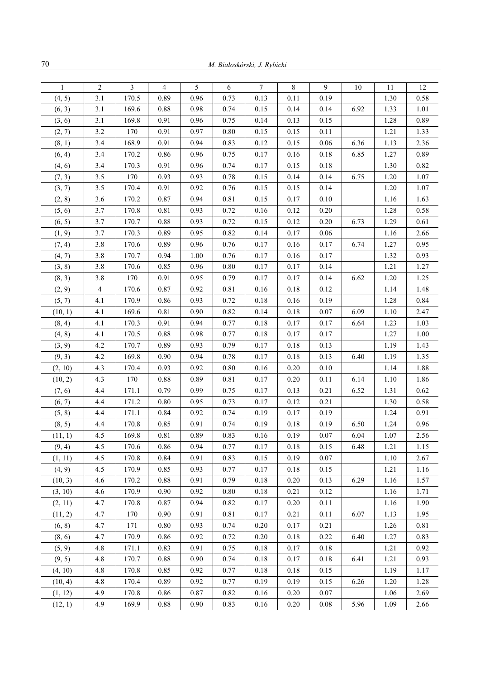| $\mathbf{1}$ | $\overline{2}$ | 3     | 4        | 5    | 6        | $\tau$   | $\,$ 8 $\,$ | 9        | 10   | 11   | 12   |
|--------------|----------------|-------|----------|------|----------|----------|-------------|----------|------|------|------|
| (4, 5)       | 3.1            | 170.5 | 0.89     | 0.96 | 0.73     | 0.13     | 0.11        | 0.19     |      | 1.30 | 0.58 |
| (6, 3)       | 3.1            | 169.6 | 0.88     | 0.98 | 0.74     | 0.15     | 0.14        | 0.14     | 6.92 | 1.33 | 1.01 |
| (3, 6)       | 3.1            | 169.8 | 0.91     | 0.96 | 0.75     | 0.14     | 0.13        | 0.15     |      | 1.28 | 0.89 |
| (2, 7)       | 3.2            | 170   | 0.91     | 0.97 | $0.80\,$ | 0.15     | 0.15        | 0.11     |      | 1.21 | 1.33 |
| (8, 1)       | 3.4            | 168.9 | 0.91     | 0.94 | 0.83     | $0.12\,$ | 0.15        | $0.06\,$ | 6.36 | 1.13 | 2.36 |
| (6, 4)       | 3.4            | 170.2 | 0.86     | 0.96 | 0.75     | 0.17     | 0.16        | $0.18\,$ | 6.85 | 1.27 | 0.89 |
| (4, 6)       | 3.4            | 170.3 | 0.91     | 0.96 | 0.74     | 0.17     | 0.15        | 0.18     |      | 1.30 | 0.82 |
| (7, 3)       | 3.5            | 170   | 0.93     | 0.93 | 0.78     | 0.15     | 0.14        | 0.14     | 6.75 | 1.20 | 1.07 |
| (3, 7)       | 3.5            | 170.4 | 0.91     | 0.92 | 0.76     | 0.15     | 0.15        | 0.14     |      | 1.20 | 1.07 |
| (2, 8)       | 3.6            | 170.2 | 0.87     | 0.94 | 0.81     | 0.15     | 0.17        | $0.10\,$ |      | 1.16 | 1.63 |
| (5, 6)       | 3.7            | 170.8 | 0.81     | 0.93 | 0.72     | $0.16\,$ | 0.12        | $0.20\,$ |      | 1.28 | 0.58 |
| (6, 5)       | 3.7            | 170.7 | 0.88     | 0.93 | 0.72     | 0.15     | 0.12        | 0.20     | 6.73 | 1.29 | 0.61 |
| (1, 9)       | 3.7            | 170.3 | 0.89     | 0.95 | 0.82     | 0.14     | 0.17        | 0.06     |      | 1.16 | 2.66 |
| (7, 4)       | 3.8            | 170.6 | 0.89     | 0.96 | 0.76     | 0.17     | 0.16        | 0.17     | 6.74 | 1.27 | 0.95 |
| (4, 7)       | 3.8            | 170.7 | 0.94     | 1.00 | 0.76     | 0.17     | 0.16        | 0.17     |      | 1.32 | 0.93 |
| (3, 8)       | 3.8            | 170.6 | 0.85     | 0.96 | $0.80\,$ | 0.17     | 0.17        | 0.14     |      | 1.21 | 1.27 |
| (8, 3)       | 3.8            | 170   | 0.91     | 0.95 | 0.79     | 0.17     | 0.17        | 0.14     | 6.62 | 1.20 | 1.25 |
| (2, 9)       | $\overline{4}$ | 170.6 | 0.87     | 0.92 | 0.81     | 0.16     | $0.18\,$    | 0.12     |      | 1.14 | 1.48 |
| (5, 7)       | 4.1            | 170.9 | 0.86     | 0.93 | 0.72     | 0.18     | 0.16        | 0.19     |      | 1.28 | 0.84 |
| (10, 1)      | 4.1            | 169.6 | 0.81     | 0.90 | 0.82     | 0.14     | $0.18\,$    | 0.07     | 6.09 | 1.10 | 2.47 |
| (8, 4)       | 4.1            | 170.3 | 0.91     | 0.94 | 0.77     | 0.18     | 0.17        | 0.17     | 6.64 | 1.23 | 1.03 |
| (4, 8)       | 4.1            | 170.5 | 0.88     | 0.98 | 0.77     | 0.18     | 0.17        | 0.17     |      | 1.27 | 1.00 |
| (3, 9)       | 4.2            | 170.7 | 0.89     | 0.93 | 0.79     | 0.17     | 0.18        | 0.13     |      | 1.19 | 1.43 |
| (9, 3)       | 4.2            | 169.8 | 0.90     | 0.94 | 0.78     | 0.17     | $0.18\,$    | 0.13     | 6.40 | 1.19 | 1.35 |
| (2, 10)      | 4.3            | 170.4 | 0.93     | 0.92 | 0.80     | $0.16\,$ | 0.20        | $0.10\,$ |      | 1.14 | 1.88 |
| (10, 2)      | 4.3            | 170   | 0.88     | 0.89 | 0.81     | 0.17     | 0.20        | 0.11     | 6.14 | 1.10 | 1.86 |
| (7, 6)       | 4.4            | 171.1 | 0.79     | 0.99 | 0.75     | 0.17     | 0.13        | 0.21     | 6.52 | 1.31 | 0.62 |
| (6, 7)       | 4.4            | 171.2 | 0.80     | 0.95 | 0.73     | 0.17     | 0.12        | 0.21     |      | 1.30 | 0.58 |
| (5, 8)       | 4.4            | 171.1 | 0.84     | 0.92 | 0.74     | 0.19     | 0.17        | 0.19     |      | 1.24 | 0.91 |
| (8, 5)       | 4.4            | 170.8 | 0.85     | 0.91 | 0.74     | 0.19     | 0.18        | 0.19     | 6.50 | 1.24 | 0.96 |
| (11, 1)      | 4.5            | 169.8 | 0.81     | 0.89 | 0.83     | 0.16     | 0.19        | 0.07     | 6.04 | 1.07 | 2.56 |
| (9, 4)       | 4.5            | 170.6 | 0.86     | 0.94 | 0.77     | 0.17     | 0.18        | 0.15     | 6.48 | 1.21 | 1.15 |
| (1, 11)      | 4.5            | 170.8 | 0.84     | 0.91 | 0.83     | 0.15     | 0.19        | 0.07     |      | 1.10 | 2.67 |
| (4, 9)       | 4.5            | 170.9 | 0.85     | 0.93 | 0.77     | 0.17     | $0.18\,$    | 0.15     |      | 1.21 | 1.16 |
| (10, 3)      | 4.6            | 170.2 | 0.88     | 0.91 | 0.79     | 0.18     | 0.20        | 0.13     | 6.29 | 1.16 | 1.57 |
| (3, 10)      | 4.6            | 170.9 | 0.90     | 0.92 | 0.80     | 0.18     | 0.21        | 0.12     |      | 1.16 | 1.71 |
| (2, 11)      | 4.7            | 170.8 | 0.87     | 0.94 | 0.82     | 0.17     | 0.20        | 0.11     |      | 1.16 | 1.90 |
| (11, 2)      | 4.7            | 170   | 0.90     | 0.91 | 0.81     | 0.17     | 0.21        | 0.11     | 6.07 | 1.13 | 1.95 |
| (6, 8)       | 4.7            | 171   | $0.80\,$ | 0.93 | 0.74     | 0.20     | 0.17        | 0.21     |      | 1.26 | 0.81 |
| (8, 6)       | 4.7            | 170.9 | 0.86     | 0.92 | 0.72     | 0.20     | 0.18        | 0.22     | 6.40 | 1.27 | 0.83 |
| (5, 9)       | 4.8            | 171.1 | 0.83     | 0.91 | 0.75     | 0.18     | 0.17        | 0.18     |      | 1.21 | 0.92 |
| (9, 5)       | 4.8            | 170.7 | 0.88     | 0.90 | 0.74     | 0.18     | 0.17        | 0.18     | 6.41 | 1.21 | 0.93 |
| (4, 10)      | 4.8            | 170.8 | 0.85     | 0.92 | 0.77     | 0.18     | $0.18\,$    | 0.15     |      | 1.19 | 1.17 |
| (10, 4)      | 4.8            | 170.4 | 0.89     | 0.92 | 0.77     | 0.19     | 0.19        | 0.15     | 6.26 | 1.20 | 1.28 |
| (1, 12)      | 4.9            | 170.8 | 0.86     | 0.87 | 0.82     | 0.16     | 0.20        | 0.07     |      | 1.06 | 2.69 |
| (12, 1)      | 4.9            | 169.9 | 0.88     | 0.90 | 0.83     | 0.16     | 0.20        | 0.08     | 5.96 | 1.09 | 2.66 |
|              |                |       |          |      |          |          |             |          |      |      |      |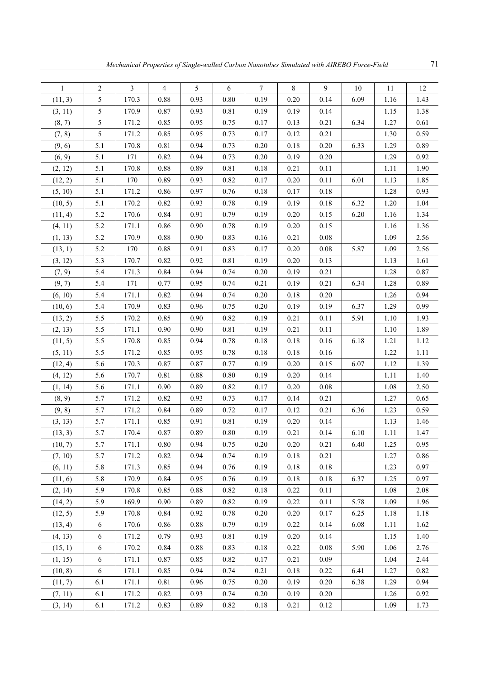| $\mathbf{1}$ | $\overline{2}$ | 3     | $\overline{4}$ | 5        | 6        | $\overline{7}$ | 8    | 9        | $10\,$ | 11   | 12   |
|--------------|----------------|-------|----------------|----------|----------|----------------|------|----------|--------|------|------|
| (11, 3)      | 5              | 170.3 | 0.88           | 0.93     | 0.80     | 0.19           | 0.20 | 0.14     | 6.09   | 1.16 | 1.43 |
| (3, 11)      | 5              | 170.9 | 0.87           | 0.93     | 0.81     | 0.19           | 0.19 | 0.14     |        | 1.15 | 1.38 |
| (8, 7)       | 5              | 171.2 | 0.85           | 0.95     | 0.75     | 0.17           | 0.13 | 0.21     | 6.34   | 1.27 | 0.61 |
| (7, 8)       | 5              | 171.2 | 0.85           | 0.95     | 0.73     | 0.17           | 0.12 | 0.21     |        | 1.30 | 0.59 |
| (9, 6)       | 5.1            | 170.8 | 0.81           | 0.94     | 0.73     | 0.20           | 0.18 | $0.20\,$ | 6.33   | 1.29 | 0.89 |
| (6, 9)       | 5.1            | 171   | 0.82           | 0.94     | 0.73     | 0.20           | 0.19 | 0.20     |        | 1.29 | 0.92 |
| (2, 12)      | 5.1            | 170.8 | 0.88           | 0.89     | 0.81     | 0.18           | 0.21 | 0.11     |        | 1.11 | 1.90 |
| (12, 2)      | 5.1            | 170   | 0.89           | 0.93     | 0.82     | 0.17           | 0.20 | 0.11     | 6.01   | 1.13 | 1.85 |
| (5, 10)      | 5.1            | 171.2 | 0.86           | 0.97     | 0.76     | 0.18           | 0.17 | 0.18     |        | 1.28 | 0.93 |
| (10, 5)      | 5.1            | 170.2 | 0.82           | 0.93     | 0.78     | 0.19           | 0.19 | $0.18\,$ | 6.32   | 1.20 | 1.04 |
| (11, 4)      | 5.2            | 170.6 | 0.84           | 0.91     | 0.79     | 0.19           | 0.20 | 0.15     | 6.20   | 1.16 | 1.34 |
| (4, 11)      | 5.2            | 171.1 | 0.86           | 0.90     | 0.78     | 0.19           | 0.20 | 0.15     |        | 1.16 | 1.36 |
| (1, 13)      | 5.2            | 170.9 | 0.88           | 0.90     | 0.83     | 0.16           | 0.21 | 0.08     |        | 1.09 | 2.56 |
| (13, 1)      | 5.2            | 170   | 0.88           | 0.91     | 0.83     | 0.17           | 0.20 | 0.08     | 5.87   | 1.09 | 2.56 |
| (3, 12)      | 5.3            | 170.7 | 0.82           | 0.92     | 0.81     | 0.19           | 0.20 | 0.13     |        | 1.13 | 1.61 |
| (7, 9)       | 5.4            | 171.3 | 0.84           | 0.94     | 0.74     | 0.20           | 0.19 | 0.21     |        | 1.28 | 0.87 |
| (9, 7)       | 5.4            | 171   | 0.77           | 0.95     | 0.74     | 0.21           | 0.19 | 0.21     | 6.34   | 1.28 | 0.89 |
| (6, 10)      | 5.4            | 171.1 | 0.82           | 0.94     | 0.74     | 0.20           | 0.18 | 0.20     |        | 1.26 | 0.94 |
| (10, 6)      | 5.4            | 170.9 | 0.83           | 0.96     | 0.75     | 0.20           | 0.19 | 0.19     | 6.37   | 1.29 | 0.99 |
| (13, 2)      | 5.5            | 170.2 | 0.85           | 0.90     | 0.82     | 0.19           | 0.21 | 0.11     | 5.91   | 1.10 | 1.93 |
| (2, 13)      | 5.5            | 171.1 | 0.90           | 0.90     | 0.81     | 0.19           | 0.21 | 0.11     |        | 1.10 | 1.89 |
| (11, 5)      | 5.5            | 170.8 | 0.85           | 0.94     | 0.78     | 0.18           | 0.18 | 0.16     | 6.18   | 1.21 | 1.12 |
| (5, 11)      | 5.5            | 171.2 | 0.85           | 0.95     | 0.78     | 0.18           | 0.18 | 0.16     |        | 1.22 | 1.11 |
| (12, 4)      | 5.6            | 170.3 | 0.87           | 0.87     | 0.77     | 0.19           | 0.20 | 0.15     | 6.07   | 1.12 | 1.39 |
| (4, 12)      | 5.6            | 170.7 | 0.81           | 0.88     | $0.80\,$ | 0.19           | 0.20 | 0.14     |        | 1.11 | 1.40 |
| (1, 14)      | 5.6            | 171.1 | 0.90           | 0.89     | 0.82     | 0.17           | 0.20 | 0.08     |        | 1.08 | 2.50 |
| (8, 9)       | 5.7            | 171.2 | 0.82           | 0.93     | 0.73     | 0.17           | 0.14 | 0.21     |        | 1.27 | 0.65 |
| (9, 8)       | 5.7            | 171.2 | 0.84           | 0.89     | 0.72     | 0.17           | 0.12 | 0.21     | 6.36   | 1.23 | 0.59 |
| (3, 13)      | 5.7            | 171.1 | 0.85           | 0.91     | 0.81     | 0.19           | 0.20 | 0.14     |        | 1.13 | 1.46 |
| (13, 3)      | 5.7            | 170.4 | 0.87           | 0.89     | 0.80     | 0.19           | 0.21 | 0.14     | 6.10   | 1.11 | 1.47 |
| (10, 7)      | 5.7            | 171.1 | $0.80\,$       | 0.94     | 0.75     | $0.20\,$       | 0.20 | 0.21     | 6.40   | 1.25 | 0.95 |
| (7, 10)      | 5.7            | 171.2 | 0.82           | 0.94     | 0.74     | 0.19           | 0.18 | 0.21     |        | 1.27 | 0.86 |
| (6, 11)      | 5.8            | 171.3 | 0.85           | 0.94     | 0.76     | 0.19           | 0.18 | 0.18     |        | 1.23 | 0.97 |
| (11, 6)      | 5.8            | 170.9 | 0.84           | 0.95     | 0.76     | 0.19           | 0.18 | 0.18     | 6.37   | 1.25 | 0.97 |
| (2, 14)      | 5.9            | 170.8 | 0.85           | $0.88\,$ | 0.82     | 0.18           | 0.22 | 0.11     |        | 1.08 | 2.08 |
| (14, 2)      | 5.9            | 169.9 | 0.90           | 0.89     | 0.82     | 0.19           | 0.22 | 0.11     | 5.78   | 1.09 | 1.96 |
| (12, 5)      | 5.9            | 170.8 | 0.84           | 0.92     | 0.78     | 0.20           | 0.20 | 0.17     | 6.25   | 1.18 | 1.18 |
| (13, 4)      | 6              | 170.6 | 0.86           | 0.88     | 0.79     | 0.19           | 0.22 | 0.14     | 6.08   | 1.11 | 1.62 |
| (4, 13)      | $\sqrt{6}$     | 171.2 | 0.79           | 0.93     | 0.81     | 0.19           | 0.20 | 0.14     |        | 1.15 | 1.40 |
| (15, 1)      | $\sqrt{6}$     | 170.2 | 0.84           | 0.88     | 0.83     | $0.18\,$       | 0.22 | $0.08\,$ | 5.90   | 1.06 | 2.76 |
| (1, 15)      | $\sqrt{6}$     | 171.1 | 0.87           | 0.85     | 0.82     | 0.17           | 0.21 | 0.09     |        | 1.04 | 2.44 |
| (10, 8)      | 6              | 171.1 | 0.85           | 0.94     | 0.74     | 0.21           | 0.18 | 0.22     | 6.41   | 1.27 | 0.82 |
| (11, 7)      | 6.1            | 171.1 | 0.81           | 0.96     | 0.75     | 0.20           | 0.19 | 0.20     | 6.38   | 1.29 | 0.94 |
| (7, 11)      | 6.1            | 171.2 | 0.82           | 0.93     | 0.74     | 0.20           | 0.19 | $0.20\,$ |        | 1.26 | 0.92 |
| (3, 14)      | 6.1            | 171.2 | 0.83           | 0.89     | 0.82     | 0.18           | 0.21 | 0.12     |        | 1.09 | 1.73 |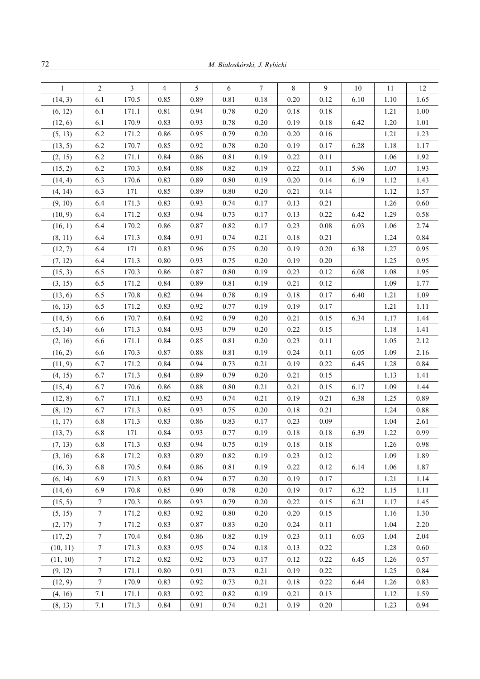| $\mathbf{1}$ | $\overline{c}$   | 3     | 4    | 5    | 6    | 7    | 8    | 9    | 10   | 11   | 12   |
|--------------|------------------|-------|------|------|------|------|------|------|------|------|------|
| (14, 3)      | 6.1              | 170.5 | 0.85 | 0.89 | 0.81 | 0.18 | 0.20 | 0.12 | 6.10 | 1.10 | 1.65 |
| (6, 12)      | 6.1              | 171.1 | 0.81 | 0.94 | 0.78 | 0.20 | 0.18 | 0.18 |      | 1.21 | 1.00 |
| (12, 6)      | 6.1              | 170.9 | 0.83 | 0.93 | 0.78 | 0.20 | 0.19 | 0.18 | 6.42 | 1.20 | 1.01 |
| (5, 13)      | 6.2              | 171.2 | 0.86 | 0.95 | 0.79 | 0.20 | 0.20 | 0.16 |      | 1.21 | 1.23 |
| (13, 5)      | 6.2              | 170.7 | 0.85 | 0.92 | 0.78 | 0.20 | 0.19 | 0.17 | 6.28 | 1.18 | 1.17 |
| (2, 15)      | 6.2              | 171.1 | 0.84 | 0.86 | 0.81 | 0.19 | 0.22 | 0.11 |      | 1.06 | 1.92 |
| (15, 2)      | 6.2              | 170.3 | 0.84 | 0.88 | 0.82 | 0.19 | 0.22 | 0.11 | 5.96 | 1.07 | 1.93 |
| (14, 4)      | 6.3              | 170.6 | 0.83 | 0.89 | 0.80 | 0.19 | 0.20 | 0.14 | 6.19 | 1.12 | 1.43 |
| (4, 14)      | 6.3              | 171   | 0.85 | 0.89 | 0.80 | 0.20 | 0.21 | 0.14 |      | 1.12 | 1.57 |
| (9, 10)      | 6.4              | 171.3 | 0.83 | 0.93 | 0.74 | 0.17 | 0.13 | 0.21 |      | 1.26 | 0.60 |
| (10, 9)      | 6.4              | 171.2 | 0.83 | 0.94 | 0.73 | 0.17 | 0.13 | 0.22 | 6.42 | 1.29 | 0.58 |
| (16, 1)      | 6.4              | 170.2 | 0.86 | 0.87 | 0.82 | 0.17 | 0.23 | 0.08 | 6.03 | 1.06 | 2.74 |
| (8, 11)      | 6.4              | 171.3 | 0.84 | 0.91 | 0.74 | 0.21 | 0.18 | 0.21 |      | 1.24 | 0.84 |
| (12, 7)      | 6.4              | 171   | 0.83 | 0.96 | 0.75 | 0.20 | 0.19 | 0.20 | 6.38 | 1.27 | 0.95 |
| (7, 12)      | 6.4              | 171.3 | 0.80 | 0.93 | 0.75 | 0.20 | 0.19 | 0.20 |      | 1.25 | 0.95 |
| (15, 3)      | 6.5              | 170.3 | 0.86 | 0.87 | 0.80 | 0.19 | 0.23 | 0.12 | 6.08 | 1.08 | 1.95 |
| (3, 15)      | 6.5              | 171.2 | 0.84 | 0.89 | 0.81 | 0.19 | 0.21 | 0.12 |      | 1.09 | 1.77 |
| (13, 6)      | 6.5              | 170.8 | 0.82 | 0.94 | 0.78 | 0.19 | 0.18 | 0.17 | 6.40 | 1.21 | 1.09 |
| (6, 13)      | 6.5              | 171.2 | 0.83 | 0.92 | 0.77 | 0.19 | 0.19 | 0.17 |      | 1.21 | 1.11 |
| (14, 5)      | 6.6              | 170.7 | 0.84 | 0.92 | 0.79 | 0.20 | 0.21 | 0.15 | 6.34 | 1.17 | 1.44 |
| (5, 14)      | 6.6              | 171.3 | 0.84 | 0.93 | 0.79 | 0.20 | 0.22 | 0.15 |      | 1.18 | 1.41 |
| (2, 16)      | 6.6              | 171.1 | 0.84 | 0.85 | 0.81 | 0.20 | 0.23 | 0.11 |      | 1.05 | 2.12 |
| (16, 2)      | 6.6              | 170.3 | 0.87 | 0.88 | 0.81 | 0.19 | 0.24 | 0.11 | 6.05 | 1.09 | 2.16 |
| (11, 9)      | 6.7              | 171.2 | 0.84 | 0.94 | 0.73 | 0.21 | 0.19 | 0.22 | 6.45 | 1.28 | 0.84 |
| (4, 15)      | 6.7              | 171.3 | 0.84 | 0.89 | 0.79 | 0.20 | 0.21 | 0.15 |      | 1.13 | 1.41 |
| (15, 4)      | 6.7              | 170.6 | 0.86 | 0.88 | 0.80 | 0.21 | 0.21 | 0.15 | 6.17 | 1.09 | 1.44 |
| (12, 8)      | 6.7              | 171.1 | 0.82 | 0.93 | 0.74 | 0.21 | 0.19 | 0.21 | 6.38 | 1.25 | 0.89 |
| (8, 12)      | 6.7              | 171.3 | 0.85 | 0.93 | 0.75 | 0.20 | 0.18 | 0.21 |      | 1.24 | 0.88 |
| (1, 17)      | 6.8              | 171.3 | 0.83 | 0.86 | 0.83 | 0.17 | 0.23 | 0.09 |      | 1.04 | 2.61 |
| (13, 7)      | 6.8              | 171   | 0.84 | 0.93 | 0.77 | 0.19 | 0.18 | 0.18 | 6.39 | 1.22 | 0.99 |
| (7, 13)      | 6.8              | 171.3 | 0.83 | 0.94 | 0.75 | 0.19 | 0.18 | 0.18 |      | 1.26 | 0.98 |
| (3, 16)      | 6.8              | 171.2 | 0.83 | 0.89 | 0.82 | 0.19 | 0.23 | 0.12 |      | 1.09 | 1.89 |
| (16, 3)      | 6.8              | 170.5 | 0.84 | 0.86 | 0.81 | 0.19 | 0.22 | 0.12 | 6.14 | 1.06 | 1.87 |
| (6, 14)      | 6.9              | 171.3 | 0.83 | 0.94 | 0.77 | 0.20 | 0.19 | 0.17 |      | 1.21 | 1.14 |
| (14, 6)      | 6.9              | 170.8 | 0.85 | 0.90 | 0.78 | 0.20 | 0.19 | 0.17 | 6.32 | 1.15 | 1.11 |
| (15, 5)      | $\boldsymbol{7}$ | 170.3 | 0.86 | 0.93 | 0.79 | 0.20 | 0.22 | 0.15 | 6.21 | 1.17 | 1.45 |
| (5, 15)      | $\boldsymbol{7}$ | 171.2 | 0.83 | 0.92 | 0.80 | 0.20 | 0.20 | 0.15 |      | 1.16 | 1.30 |
| (2, 17)      | $\boldsymbol{7}$ | 171.2 | 0.83 | 0.87 | 0.83 | 0.20 | 0.24 | 0.11 |      | 1.04 | 2.20 |
| (17, 2)      | $\boldsymbol{7}$ | 170.4 | 0.84 | 0.86 | 0.82 | 0.19 | 0.23 | 0.11 | 6.03 | 1.04 | 2.04 |
| (10, 11)     | $\boldsymbol{7}$ | 171.3 | 0.83 | 0.95 | 0.74 | 0.18 | 0.13 | 0.22 |      | 1.28 | 0.60 |
| (11, 10)     | $\boldsymbol{7}$ | 171.2 | 0.82 | 0.92 | 0.73 | 0.17 | 0.12 | 0.22 | 6.45 | 1.26 | 0.57 |
| (9, 12)      | $\boldsymbol{7}$ | 171.1 | 0.80 | 0.91 | 0.73 | 0.21 | 0.19 | 0.22 |      | 1.25 | 0.84 |
| (12, 9)      | $\boldsymbol{7}$ | 170.9 | 0.83 | 0.92 | 0.73 | 0.21 | 0.18 | 0.22 | 6.44 | 1.26 | 0.83 |
| (4, 16)      | 7.1              | 171.1 | 0.83 | 0.92 | 0.82 | 0.19 | 0.21 | 0.13 |      | 1.12 | 1.59 |
| (8, 13)      | 7.1              | 171.3 | 0.84 | 0.91 | 0.74 | 0.21 | 0.19 | 0.20 |      | 1.23 | 0.94 |
|              |                  |       |      |      |      |      |      |      |      |      |      |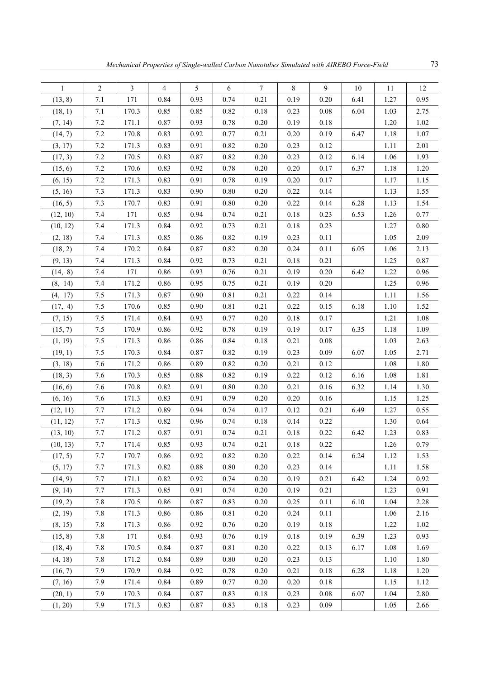| $\mathbf{1}$ | $\overline{2}$ | $\mathfrak{Z}$ | $\overline{4}$ | 5        | 6        | $\tau$   | 8        | 9        | $10\,$ | 11   | 12   |
|--------------|----------------|----------------|----------------|----------|----------|----------|----------|----------|--------|------|------|
| (13, 8)      | 7.1            | 171            | 0.84           | 0.93     | 0.74     | 0.21     | 0.19     | 0.20     | 6.41   | 1.27 | 0.95 |
| (18, 1)      | 7.1            | 170.3          | 0.85           | 0.85     | 0.82     | 0.18     | 0.23     | 0.08     | 6.04   | 1.03 | 2.75 |
| (7, 14)      | $7.2\,$        | 171.1          | 0.87           | 0.93     | 0.78     | 0.20     | 0.19     | 0.18     |        | 1.20 | 1.02 |
| (14, 7)      | 7.2            | 170.8          | 0.83           | 0.92     | 0.77     | 0.21     | $0.20\,$ | 0.19     | 6.47   | 1.18 | 1.07 |
| (3, 17)      | $7.2\,$        | 171.3          | 0.83           | 0.91     | 0.82     | 0.20     | 0.23     | 0.12     |        | 1.11 | 2.01 |
| (17, 3)      | 7.2            | 170.5          | 0.83           | 0.87     | 0.82     | 0.20     | 0.23     | 0.12     | 6.14   | 1.06 | 1.93 |
| (15, 6)      | $7.2\,$        | 170.6          | 0.83           | 0.92     | 0.78     | 0.20     | 0.20     | 0.17     | 6.37   | 1.18 | 1.20 |
| (6, 15)      | 7.2            | 171.3          | 0.83           | 0.91     | 0.78     | 0.19     | 0.20     | 0.17     |        | 1.17 | 1.15 |
| (5, 16)      | 7.3            | 171.3          | 0.83           | 0.90     | 0.80     | 0.20     | 0.22     | 0.14     |        | 1.13 | 1.55 |
| (16, 5)      | 7.3            | 170.7          | 0.83           | 0.91     | $0.80\,$ | 0.20     | 0.22     | 0.14     | 6.28   | 1.13 | 1.54 |
| (12, 10)     | 7.4            | 171            | 0.85           | 0.94     | 0.74     | 0.21     | 0.18     | 0.23     | 6.53   | 1.26 | 0.77 |
| (10, 12)     | 7.4            | 171.3          | 0.84           | 0.92     | 0.73     | 0.21     | $0.18\,$ | 0.23     |        | 1.27 | 0.80 |
| (2, 18)      | 7.4            | 171.3          | 0.85           | 0.86     | 0.82     | 0.19     | 0.23     | 0.11     |        | 1.05 | 2.09 |
| (18, 2)      | 7.4            | 170.2          | 0.84           | 0.87     | 0.82     | 0.20     | 0.24     | 0.11     | 6.05   | 1.06 | 2.13 |
| (9, 13)      | $7.4$          | 171.3          | 0.84           | 0.92     | 0.73     | 0.21     | 0.18     | 0.21     |        | 1.25 | 0.87 |
| (14, 8)      | 7.4            | 171            | 0.86           | 0.93     | 0.76     | 0.21     | 0.19     | 0.20     | 6.42   | 1.22 | 0.96 |
| (8, 14)      | 7.4            | 171.2          | 0.86           | 0.95     | 0.75     | 0.21     | 0.19     | 0.20     |        | 1.25 | 0.96 |
| (4, 17)      | 7.5            | 171.3          | 0.87           | 0.90     | 0.81     | 0.21     | 0.22     | 0.14     |        | 1.11 | 1.56 |
| (17, 4)      | 7.5            | 170.6          | 0.85           | 0.90     | 0.81     | 0.21     | 0.22     | 0.15     | 6.18   | 1.10 | 1.52 |
| (7, 15)      | 7.5            | 171.4          | 0.84           | 0.93     | 0.77     | $0.20\,$ | 0.18     | 0.17     |        | 1.21 | 1.08 |
| (15, 7)      | 7.5            | 170.9          | 0.86           | 0.92     | 0.78     | 0.19     | 0.19     | 0.17     | 6.35   | 1.18 | 1.09 |
| (1, 19)      | 7.5            | 171.3          | 0.86           | 0.86     | 0.84     | 0.18     | 0.21     | 0.08     |        | 1.03 | 2.63 |
| (19, 1)      | 7.5            | 170.3          | 0.84           | 0.87     | 0.82     | 0.19     | 0.23     | 0.09     | 6.07   | 1.05 | 2.71 |
| (3, 18)      | 7.6            | 171.2          | 0.86           | 0.89     | 0.82     | $0.20\,$ | 0.21     | 0.12     |        | 1.08 | 1.80 |
| (18, 3)      | 7.6            | 170.3          | 0.85           | $0.88\,$ | 0.82     | 0.19     | 0.22     | 0.12     | 6.16   | 1.08 | 1.81 |
| (16, 6)      | 7.6            | 170.8          | 0.82           | 0.91     | $0.80\,$ | 0.20     | 0.21     | 0.16     | 6.32   | 1.14 | 1.30 |
| (6, 16)      | 7.6            | 171.3          | 0.83           | 0.91     | 0.79     | $0.20\,$ | $0.20\,$ | 0.16     |        | 1.15 | 1.25 |
| (12, 11)     | 7.7            | 171.2          | 0.89           | 0.94     | 0.74     | 0.17     | 0.12     | 0.21     | 6.49   | 1.27 | 0.55 |
| (11, 12)     | 7.7            | 171.3          | 0.82           | 0.96     | 0.74     | 0.18     | 0.14     | 0.22     |        | 1.30 | 0.64 |
| (13, 10)     | 7.7            | 171.2          | 0.87           | 0.91     | 0.74     | 0.21     | 0.18     | 0.22     | 6.42   | 1.23 | 0.83 |
| (10, 13)     | 7.7            | 171.4          | 0.85           | 0.93     | 0.74     | 0.21     | $0.18\,$ | 0.22     |        | 1.26 | 0.79 |
| (17, 5)      | 7.7            | 170.7          | 0.86           | 0.92     | 0.82     | 0.20     | 0.22     | 0.14     | 6.24   | 1.12 | 1.53 |
| (5, 17)      | $7.7\,$        | 171.3          | 0.82           | $0.88\,$ | $0.80\,$ | 0.20     | 0.23     | 0.14     |        | 1.11 | 1.58 |
| (14, 9)      | $7.7\,$        | 171.1          | 0.82           | 0.92     | 0.74     | 0.20     | 0.19     | 0.21     | 6.42   | 1.24 | 0.92 |
| (9, 14)      | $7.7\,$        | 171.3          | 0.85           | 0.91     | 0.74     | 0.20     | 0.19     | 0.21     |        | 1.23 | 0.91 |
| (19, 2)      | 7.8            | 170.5          | 0.86           | 0.87     | 0.83     | 0.20     | 0.25     | 0.11     | 6.10   | 1.04 | 2.28 |
| (2, 19)      | 7.8            | 171.3          | 0.86           | 0.86     | 0.81     | 0.20     | 0.24     | 0.11     |        | 1.06 | 2.16 |
| (8, 15)      | 7.8            | 171.3          | 0.86           | 0.92     | 0.76     | 0.20     | 0.19     | 0.18     |        | 1.22 | 1.02 |
| (15, 8)      | 7.8            | 171            | 0.84           | 0.93     | 0.76     | 0.19     | $0.18\,$ | 0.19     | 6.39   | 1.23 | 0.93 |
| (18, 4)      | 7.8            | 170.5          | 0.84           | 0.87     | 0.81     | 0.20     | 0.22     | 0.13     | 6.17   | 1.08 | 1.69 |
| (4, 18)      | 7.8            | 171.2          | 0.84           | 0.89     | 0.80     | 0.20     | 0.23     | 0.13     |        | 1.10 | 1.80 |
| (16, 7)      | 7.9            | 170.9          | 0.84           | 0.92     | 0.78     | 0.20     | 0.21     | $0.18\,$ | 6.28   | 1.18 | 1.20 |
| (7, 16)      | 7.9            | 171.4          | 0.84           | 0.89     | 0.77     | $0.20\,$ | 0.20     | $0.18\,$ |        | 1.15 | 1.12 |
| (20, 1)      | 7.9            | 170.3          | 0.84           | 0.87     | 0.83     | 0.18     | 0.23     | $0.08\,$ | 6.07   | 1.04 | 2.80 |
| (1, 20)      | 7.9            | 171.3          | 0.83           | 0.87     | 0.83     | 0.18     | 0.23     | 0.09     |        | 1.05 | 2.66 |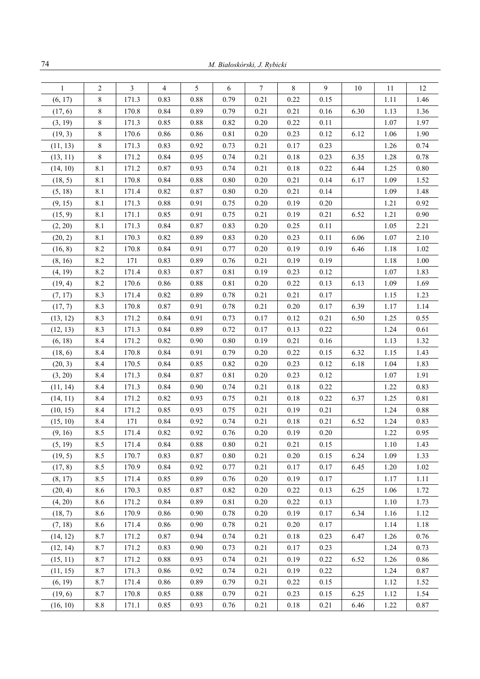| $\overline{2}$<br>3<br>5<br>8<br>9<br>$\mathbf{1}$<br>$\overline{4}$<br>6<br>7<br>10<br>$\,$ 8 $\,$<br>171.3<br>0.83<br>0.88<br>0.79<br>0.21<br>0.22<br>0.15<br>(6, 17) | 12<br>11<br>1.11<br>1.46 |
|-------------------------------------------------------------------------------------------------------------------------------------------------------------------------|--------------------------|
|                                                                                                                                                                         |                          |
|                                                                                                                                                                         |                          |
| $\,$ 8 $\,$<br>170.8<br>0.84<br>0.89<br>0.79<br>0.21<br>0.21<br>0.16<br>6.30<br>(17, 6)                                                                                 | 1.13<br>1.36             |
| $\,$ 8 $\,$<br>0.85<br>0.88<br>0.82<br>0.20<br>0.22<br>(3, 19)<br>171.3<br>0.11                                                                                         | 1.07<br>1.97             |
| 8<br>(19, 3)<br>170.6<br>0.86<br>0.86<br>0.81<br>0.20<br>0.23<br>0.12<br>6.12                                                                                           | 1.90<br>1.06             |
| $\,$ 8 $\,$<br>171.3<br>0.83<br>0.92<br>0.73<br>0.21<br>0.17<br>0.23<br>(11, 13)                                                                                        | 1.26<br>0.74             |
| 8<br>171.2<br>0.84<br>0.95<br>0.74<br>0.21<br>0.18<br>0.23<br>6.35<br>(13, 11)                                                                                          | 1.28<br>0.78             |
| 8.1<br>171.2<br>0.87<br>0.93<br>0.74<br>0.21<br>0.18<br>0.22<br>6.44<br>(14, 10)                                                                                        | 1.25<br>0.80             |
| 8.1<br>170.8<br>0.84<br>0.88<br>0.80<br>0.20<br>0.21<br>0.14<br>6.17<br>(18, 5)                                                                                         | 1.09<br>1.52             |
| 8.1<br>171.4<br>0.82<br>0.87<br>0.80<br>0.20<br>0.21<br>0.14<br>(5, 18)                                                                                                 | 1.09<br>1.48             |
| 8.1<br>171.3<br>0.88<br>0.91<br>0.75<br>0.20<br>0.19<br>0.20<br>(9, 15)                                                                                                 | 1.21<br>0.92             |
| 8.1<br>171.1<br>0.85<br>0.91<br>0.75<br>0.21<br>0.19<br>0.21<br>6.52<br>(15, 9)                                                                                         | 1.21<br>0.90             |
| 171.3<br>8.1<br>0.84<br>0.87<br>0.83<br>0.20<br>0.25<br>0.11<br>(2, 20)                                                                                                 | 1.05<br>2.21             |
| 8.1<br>170.3<br>0.82<br>0.89<br>0.83<br>0.20<br>0.23<br>0.11<br>6.06<br>(20, 2)                                                                                         | 2.10<br>1.07             |
| 8.2<br>170.8<br>0.84<br>0.91<br>0.77<br>0.20<br>0.19<br>0.19<br>(16, 8)<br>6.46                                                                                         | 1.18<br>1.02             |
| 8.2<br>171<br>0.83<br>0.89<br>0.76<br>0.21<br>0.19<br>0.19<br>(8, 16)                                                                                                   | 1.00<br>1.18             |
| 8.2<br>171.4<br>0.83<br>0.87<br>0.81<br>0.19<br>0.23<br>0.12<br>(4, 19)                                                                                                 | 1.07<br>1.83             |
| 8.2<br>170.6<br>0.86<br>0.88<br>0.81<br>0.20<br>0.22<br>0.13<br>6.13<br>(19, 4)                                                                                         | 1.09<br>1.69             |
| 8.3<br>171.4<br>0.82<br>0.89<br>0.21<br>0.21<br>(7, 17)<br>0.78<br>0.17                                                                                                 | 1.23<br>1.15             |
| 0.87<br>6.39<br>8.3<br>170.8<br>0.91<br>0.78<br>0.21<br>0.20<br>0.17<br>(17, 7)                                                                                         | 1.17<br>1.14             |
| 8.3<br>171.2<br>0.84<br>0.91<br>0.73<br>0.17<br>0.12<br>0.21<br>6.50<br>(13, 12)                                                                                        | 1.25<br>0.55             |
| 8.3<br>171.3<br>0.84<br>0.89<br>0.72<br>0.17<br>0.13<br>0.22<br>(12, 13)                                                                                                | 1.24<br>0.61             |
| 8.4<br>171.2<br>0.82<br>0.90<br>0.80<br>0.19<br>0.21<br>(6, 18)<br>0.16                                                                                                 | 1.13<br>1.32             |
| 8.4<br>170.8<br>0.84<br>0.91<br>0.79<br>0.20<br>0.22<br>6.32<br>0.15<br>(18, 6)                                                                                         | 1.15<br>1.43             |
| 8.4<br>170.5<br>0.84<br>0.85<br>0.82<br>0.20<br>0.23<br>0.12<br>6.18<br>(20, 3)                                                                                         | 1.83<br>1.04             |
| 8.4<br>171.3<br>0.84<br>0.87<br>0.81<br>0.20<br>0.23<br>0.12<br>(3, 20)                                                                                                 | 1.91<br>1.07             |
| 171.3<br>8.4<br>0.84<br>0.90<br>0.74<br>0.21<br>0.18<br>0.22<br>(11, 14)                                                                                                | 1.22<br>0.83             |
| 0.82<br>8.4<br>171.2<br>0.93<br>0.75<br>0.21<br>0.18<br>0.22<br>6.37<br>(14, 11)                                                                                        | 0.81<br>1.25             |
| 8.4<br>171.2<br>0.85<br>0.93<br>0.75<br>0.21<br>0.19<br>0.21<br>(10, 15)                                                                                                | 1.24<br>0.88             |
| 8.4<br>0.84<br>0.92<br>171<br>0.74<br>0.21<br>0.18<br>0.21<br>6.52<br>(15, 10)                                                                                          | 1.24<br>0.83             |
| (9, 16)<br>8.5<br>171.4<br>0.82<br>0.92<br>0.76<br>0.20<br>0.19<br>0.20                                                                                                 | 1.22<br>0.95             |
| (5, 19)<br>8.5<br>0.21<br>0.21<br>0.15<br>171.4<br>0.84<br>0.88<br>0.80                                                                                                 | 1.43<br>1.10             |
| 8.5<br>0.21<br>0.20<br>6.24<br>(19, 5)<br>170.7<br>0.83<br>0.87<br>0.80<br>0.15                                                                                         | 1.09<br>1.33             |
| 0.92<br>(17, 8)<br>8.5<br>170.9<br>0.84<br>0.77<br>0.21<br>0.17<br>0.17<br>6.45                                                                                         | 1.20<br>1.02             |
| 8.5<br>171.4<br>0.85<br>0.89<br>0.20<br>0.19<br>(8, 17)<br>0.76<br>0.17                                                                                                 | 1.17<br>1.11             |
| 0.82<br>8.6<br>170.3<br>0.85<br>0.87<br>0.20<br>0.22<br>0.13<br>6.25<br>(20, 4)                                                                                         | 1.06<br>1.72             |
| 171.2<br>(4, 20)<br>8.6<br>0.84<br>0.89<br>0.81<br>0.20<br>0.22<br>0.13                                                                                                 | 1.10<br>1.73             |
| 8.6<br>170.9<br>0.86<br>0.90<br>0.78<br>0.20<br>0.19<br>6.34<br>(18, 7)<br>0.17                                                                                         | 1.16<br>1.12             |
| (7, 18)<br>8.6<br>171.4<br>0.86<br>0.90<br>0.78<br>0.21<br>0.20<br>0.17                                                                                                 | 1.14<br>1.18             |
| 8.7<br>171.2<br>0.87<br>0.94<br>0.74<br>0.21<br>0.18<br>0.23<br>(14, 12)<br>6.47                                                                                        | 0.76<br>1.26             |
| 0.21<br>(12, 14)<br>8.7<br>171.2<br>0.83<br>0.90<br>0.73<br>0.17<br>0.23                                                                                                | 1.24<br>0.73             |
| (15, 11)<br>8.7<br>171.2<br>0.88<br>0.93<br>0.74<br>0.21<br>0.19<br>0.22<br>6.52                                                                                        | 0.86<br>1.26             |
| 8.7<br>171.3<br>(11, 15)<br>0.86<br>0.92<br>0.74<br>0.21<br>0.19<br>0.22                                                                                                | 1.24<br>0.87             |
| 0.86<br>0.89<br>0.79<br>0.21<br>0.22<br>(6, 19)<br>8.7<br>171.4<br>0.15                                                                                                 | 1.12<br>1.52             |
| (19, 6)<br>8.7<br>170.8<br>0.85<br>0.88<br>0.79<br>0.21<br>0.23<br>0.15<br>6.25                                                                                         | 1.12<br>1.54             |
| (16, 10)<br>8.8<br>0.85<br>0.93<br>0.76<br>0.21<br>0.18<br>0.21<br>6.46<br>171.1                                                                                        | 0.87<br>1.22             |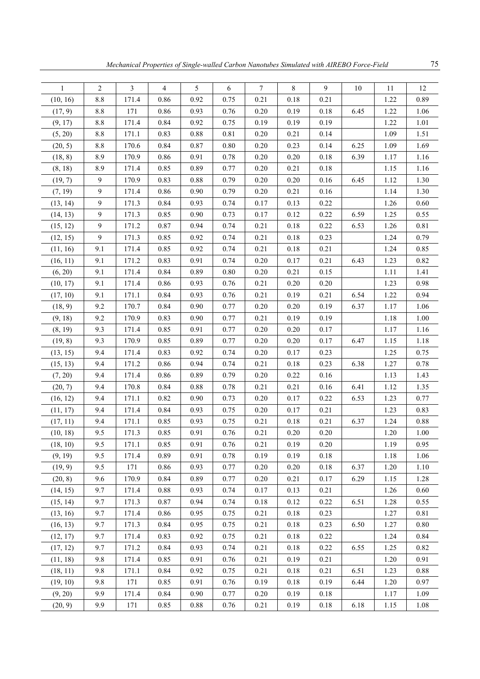| $\mathbf{1}$ | $\overline{c}$ | $\overline{\mathbf{3}}$ | $\overline{4}$ | 5        | 6    | $\boldsymbol{7}$ | 8        | 9        | $10\,$ | 11   | 12   |
|--------------|----------------|-------------------------|----------------|----------|------|------------------|----------|----------|--------|------|------|
| (10, 16)     | 8.8            | 171.4                   | 0.86           | 0.92     | 0.75 | 0.21             | 0.18     | 0.21     |        | 1.22 | 0.89 |
| (17, 9)      | 8.8            | 171                     | 0.86           | 0.93     | 0.76 | 0.20             | 0.19     | 0.18     | 6.45   | 1.22 | 1.06 |
| (9, 17)      | $8.8\,$        | 171.4                   | 0.84           | 0.92     | 0.75 | 0.19             | 0.19     | 0.19     |        | 1.22 | 1.01 |
| (5, 20)      | 8.8            | 171.1                   | 0.83           | 0.88     | 0.81 | 0.20             | 0.21     | 0.14     |        | 1.09 | 1.51 |
| (20, 5)      | 8.8            | 170.6                   | 0.84           | 0.87     | 0.80 | 0.20             | 0.23     | 0.14     | 6.25   | 1.09 | 1.69 |
| (18, 8)      | 8.9            | 170.9                   | 0.86           | 0.91     | 0.78 | 0.20             | 0.20     | 0.18     | 6.39   | 1.17 | 1.16 |
| (8, 18)      | 8.9            | 171.4                   | 0.85           | 0.89     | 0.77 | 0.20             | 0.21     | 0.18     |        | 1.15 | 1.16 |
| (19, 7)      | 9              | 170.9                   | 0.83           | 0.88     | 0.79 | 0.20             | 0.20     | 0.16     | 6.45   | 1.12 | 1.30 |
| (7, 19)      | 9              | 171.4                   | 0.86           | 0.90     | 0.79 | 0.20             | 0.21     | 0.16     |        | 1.14 | 1.30 |
| (13, 14)     | 9              | 171.3                   | 0.84           | 0.93     | 0.74 | 0.17             | 0.13     | 0.22     |        | 1.26 | 0.60 |
| (14, 13)     | 9              | 171.3                   | 0.85           | 0.90     | 0.73 | 0.17             | 0.12     | 0.22     | 6.59   | 1.25 | 0.55 |
| (15, 12)     | 9              | 171.2                   | 0.87           | 0.94     | 0.74 | 0.21             | 0.18     | 0.22     | 6.53   | 1.26 | 0.81 |
| (12, 15)     | 9              | 171.3                   | 0.85           | 0.92     | 0.74 | 0.21             | 0.18     | 0.23     |        | 1.24 | 0.79 |
| (11, 16)     | 9.1            | 171.4                   | 0.85           | 0.92     | 0.74 | 0.21             | 0.18     | 0.21     |        | 1.24 | 0.85 |
| (16, 11)     | 9.1            | 171.2                   | 0.83           | 0.91     | 0.74 | 0.20             | 0.17     | 0.21     | 6.43   | 1.23 | 0.82 |
| (6, 20)      | 9.1            | 171.4                   | 0.84           | 0.89     | 0.80 | 0.20             | 0.21     | 0.15     |        | 1.11 | 1.41 |
| (10, 17)     | 9.1            | 171.4                   | 0.86           | 0.93     | 0.76 | 0.21             | 0.20     | 0.20     |        | 1.23 | 0.98 |
| (17, 10)     | 9.1            | 171.1                   | 0.84           | 0.93     | 0.76 | 0.21             | 0.19     | 0.21     | 6.54   | 1.22 | 0.94 |
| (18, 9)      | 9.2            | 170.7                   | 0.84           | 0.90     | 0.77 | 0.20             | 0.20     | 0.19     | 6.37   | 1.17 | 1.06 |
| (9, 18)      | 9.2            | 170.9                   | 0.83           | 0.90     | 0.77 | 0.21             | 0.19     | 0.19     |        | 1.18 | 1.00 |
| (8, 19)      | 9.3            | 171.4                   | 0.85           | 0.91     | 0.77 | 0.20             | 0.20     | 0.17     |        | 1.17 | 1.16 |
| (19, 8)      | 9.3            | 170.9                   | 0.85           | 0.89     | 0.77 | 0.20             | 0.20     | 0.17     | 6.47   | 1.15 | 1.18 |
| (13, 15)     | 9.4            | 171.4                   | 0.83           | 0.92     | 0.74 | 0.20             | 0.17     | 0.23     |        | 1.25 | 0.75 |
| (15, 13)     | 9.4            | 171.2                   | 0.86           | 0.94     | 0.74 | 0.21             | 0.18     | 0.23     | 6.38   | 1.27 | 0.78 |
| (7, 20)      | 9.4            | 171.4                   | 0.86           | 0.89     | 0.79 | 0.20             | 0.22     | 0.16     |        | 1.13 | 1.43 |
| (20, 7)      | 9.4            | 170.8                   | 0.84           | 0.88     | 0.78 | 0.21             | 0.21     | 0.16     | 6.41   | 1.12 | 1.35 |
| (16, 12)     | 9.4            | 171.1                   | 0.82           | 0.90     | 0.73 | 0.20             | 0.17     | 0.22     | 6.53   | 1.23 | 0.77 |
| (11, 17)     | 9.4            | 171.4                   | 0.84           | 0.93     | 0.75 | 0.20             | 0.17     | 0.21     |        | 1.23 | 0.83 |
| (17, 11)     | 9.4            | 171.1                   | 0.85           | 0.93     | 0.75 | 0.21             | 0.18     | 0.21     | 6.37   | 1.24 | 0.88 |
| (10, 18)     | 9.5            | 171.3                   | 0.85           | 0.91     | 0.76 | 0.21             | 0.20     | 0.20     |        | 1.20 | 1.00 |
| (18, 10)     | 9.5            | 171.1                   | 0.85           | 0.91     | 0.76 | 0.21             | 0.19     | $0.20\,$ |        | 1.19 | 0.95 |
| (9, 19)      | 9.5            | 171.4                   | 0.89           | 0.91     | 0.78 | 0.19             | 0.19     | $0.18\,$ |        | 1.18 | 1.06 |
| (19, 9)      | 9.5            | 171                     | 0.86           | 0.93     | 0.77 | 0.20             | 0.20     | 0.18     | 6.37   | 1.20 | 1.10 |
| (20, 8)      | 9.6            | 170.9                   | 0.84           | 0.89     | 0.77 | 0.20             | 0.21     | 0.17     | 6.29   | 1.15 | 1.28 |
| (14, 15)     | 9.7            | 171.4                   | 0.88           | 0.93     | 0.74 | 0.17             | 0.13     | 0.21     |        | 1.26 | 0.60 |
| (15, 14)     | 9.7            | 171.3                   | 0.87           | 0.94     | 0.74 | 0.18             | 0.12     | 0.22     | 6.51   | 1.28 | 0.55 |
| (13, 16)     | 9.7            | 171.4                   | 0.86           | 0.95     | 0.75 | 0.21             | 0.18     | 0.23     |        | 1.27 | 0.81 |
| (16, 13)     | 9.7            | 171.3                   | 0.84           | 0.95     | 0.75 | 0.21             | 0.18     | 0.23     | 6.50   | 1.27 | 0.80 |
| (12, 17)     | 9.7            | 171.4                   | 0.83           | 0.92     | 0.75 | 0.21             | $0.18\,$ | 0.22     |        | 1.24 | 0.84 |
| (17, 12)     | 9.7            | 171.2                   | 0.84           | 0.93     | 0.74 | 0.21             | 0.18     | 0.22     | 6.55   | 1.25 | 0.82 |
| (11, 18)     | 9.8            | 171.4                   | 0.85           | 0.91     | 0.76 | 0.21             | 0.19     | 0.21     |        | 1.20 | 0.91 |
| (18, 11)     | 9.8            | 171.1                   | 0.84           | 0.92     | 0.75 | 0.21             | 0.18     | 0.21     | 6.51   | 1.23 | 0.88 |
| (19, 10)     | 9.8            | 171                     | 0.85           | 0.91     | 0.76 | 0.19             | $0.18\,$ | 0.19     | 6.44   | 1.20 | 0.97 |
| (9, 20)      | 9.9            | 171.4                   | 0.84           | 0.90     | 0.77 | $0.20\,$         | 0.19     | $0.18\,$ |        | 1.17 | 1.09 |
| (20, 9)      | 9.9            | 171                     | 0.85           | $0.88\,$ | 0.76 | 0.21             | 0.19     | $0.18\,$ | 6.18   | 1.15 | 1.08 |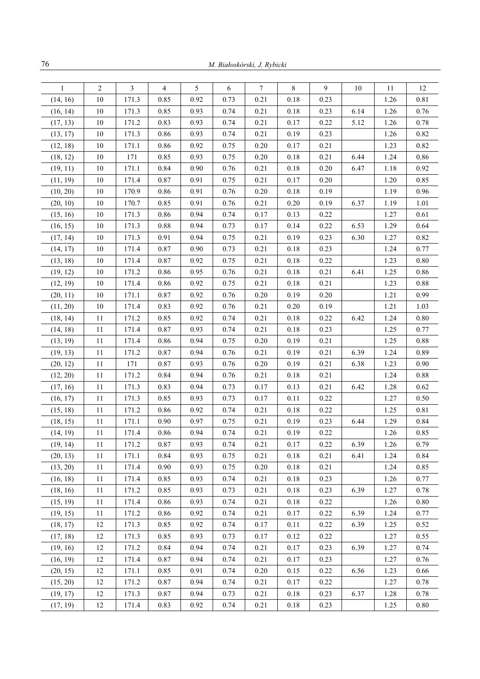| $\mathbf{1}$ | $\overline{2}$ | $\overline{3}$ | $\overline{4}$ | 5    | 6    | $\overline{7}$ | $\,8\,$  | 9    | $10\,$ | 11   | 12   |
|--------------|----------------|----------------|----------------|------|------|----------------|----------|------|--------|------|------|
| (14, 16)     | 10             | 171.3          | 0.85           | 0.92 | 0.73 | 0.21           | 0.18     | 0.23 |        | 1.26 | 0.81 |
| (16, 14)     | 10             | 171.3          | 0.85           | 0.93 | 0.74 | 0.21           | 0.18     | 0.23 | 6.14   | 1.26 | 0.76 |
| (17, 13)     | $10\,$         | 171.2          | 0.83           | 0.93 | 0.74 | 0.21           | 0.17     | 0.22 | 5.12   | 1.26 | 0.78 |
| (13, 17)     | $10\,$         | 171.3          | 0.86           | 0.93 | 0.74 | 0.21           | 0.19     | 0.23 |        | 1.26 | 0.82 |
| (12, 18)     | 10             | 171.1          | 0.86           | 0.92 | 0.75 | 0.20           | 0.17     | 0.21 |        | 1.23 | 0.82 |
| (18, 12)     | 10             | 171            | 0.85           | 0.93 | 0.75 | 0.20           | 0.18     | 0.21 | 6.44   | 1.24 | 0.86 |
| (19, 11)     | 10             | 171.1          | 0.84           | 0.90 | 0.76 | 0.21           | 0.18     | 0.20 | 6.47   | 1.18 | 0.92 |
| (11, 19)     | $10\,$         | 171.4          | 0.87           | 0.91 | 0.75 | 0.21           | 0.17     | 0.20 |        | 1.20 | 0.85 |
| (10, 20)     | $10\,$         | 170.9          | 0.86           | 0.91 | 0.76 | 0.20           | 0.18     | 0.19 |        | 1.19 | 0.96 |
| (20, 10)     | 10             | 170.7          | 0.85           | 0.91 | 0.76 | 0.21           | 0.20     | 0.19 | 6.37   | 1.19 | 1.01 |
| (15, 16)     | $10\,$         | 171.3          | 0.86           | 0.94 | 0.74 | 0.17           | 0.13     | 0.22 |        | 1.27 | 0.61 |
| (16, 15)     | $10\,$         | 171.3          | 0.88           | 0.94 | 0.73 | 0.17           | 0.14     | 0.22 | 6.53   | 1.29 | 0.64 |
| (17, 14)     | 10             | 171.3          | 0.91           | 0.94 | 0.75 | 0.21           | 0.19     | 0.23 | 6.30   | 1.27 | 0.82 |
| (14, 17)     | $10\,$         | 171.4          | 0.87           | 0.90 | 0.73 | 0.21           | 0.18     | 0.23 |        | 1.24 | 0.77 |
| (13, 18)     | 10             | 171.4          | 0.87           | 0.92 | 0.75 | 0.21           | 0.18     | 0.22 |        | 1.23 | 0.80 |
| (19, 12)     | 10             | 171.2          | 0.86           | 0.95 | 0.76 | 0.21           | 0.18     | 0.21 | 6.41   | 1.25 | 0.86 |
| (12, 19)     | 10             | 171.4          | 0.86           | 0.92 | 0.75 | 0.21           | 0.18     | 0.21 |        | 1.23 | 0.88 |
| (20, 11)     | 10             | 171.1          | 0.87           | 0.92 | 0.76 | 0.20           | 0.19     | 0.20 |        | 1.21 | 0.99 |
| (11, 20)     | $10\,$         | 171.4          | 0.83           | 0.92 | 0.76 | 0.21           | 0.20     | 0.19 |        | 1.21 | 1.03 |
| (18, 14)     | 11             | 171.2          | 0.85           | 0.92 | 0.74 | 0.21           | 0.18     | 0.22 | 6.42   | 1.24 | 0.80 |
| (14, 18)     | 11             | 171.4          | 0.87           | 0.93 | 0.74 | 0.21           | 0.18     | 0.23 |        | 1.25 | 0.77 |
| (13, 19)     | 11             | 171.4          | 0.86           | 0.94 | 0.75 | 0.20           | 0.19     | 0.21 |        | 1.25 | 0.88 |
| (19, 13)     | 11             | 171.2          | 0.87           | 0.94 | 0.76 | 0.21           | 0.19     | 0.21 | 6.39   | 1.24 | 0.89 |
| (20, 12)     | 11             | 171            | 0.87           | 0.93 | 0.76 | $0.20\,$       | 0.19     | 0.21 | 6.38   | 1.23 | 0.90 |
| (12, 20)     | 11             | 171.2          | 0.84           | 0.94 | 0.76 | 0.21           | 0.18     | 0.21 |        | 1.24 | 0.88 |
| (17, 16)     | 11             | 171.3          | 0.83           | 0.94 | 0.73 | 0.17           | 0.13     | 0.21 | 6.42   | 1.28 | 0.62 |
| (16, 17)     | 11             | 171.3          | 0.85           | 0.93 | 0.73 | 0.17           | 0.11     | 0.22 |        | 1.27 | 0.50 |
| (15, 18)     | 11             | 171.2          | 0.86           | 0.92 | 0.74 | 0.21           | 0.18     | 0.22 |        | 1.25 | 0.81 |
| (18, 15)     | 11             | 171.1          | 0.90           | 0.97 | 0.75 | 0.21           | 0.19     | 0.23 | 6.44   | 1.29 | 0.84 |
| (14, 19)     | 11             | 171.4          | 0.86           | 0.94 | 0.74 | 0.21           | 0.19     | 0.22 |        | 1.26 | 0.85 |
| (19, 14)     | 11             | 171.2          | 0.87           | 0.93 | 0.74 | 0.21           | 0.17     | 0.22 | 6.39   | 1.26 | 0.79 |
| (20, 13)     | $11\,$         | 171.1          | 0.84           | 0.93 | 0.75 | 0.21           | 0.18     | 0.21 | 6.41   | 1.24 | 0.84 |
| (13, 20)     | 11             | 171.4          | 0.90           | 0.93 | 0.75 | 0.20           | $0.18\,$ | 0.21 |        | 1.24 | 0.85 |
| (16, 18)     | $11\,$         | 171.4          | 0.85           | 0.93 | 0.74 | 0.21           | 0.18     | 0.23 |        | 1.26 | 0.77 |
| (18, 16)     | 11             | 171.2          | 0.85           | 0.93 | 0.73 | 0.21           | $0.18\,$ | 0.23 | 6.39   | 1.27 | 0.78 |
| (15, 19)     | 11             | 171.4          | 0.86           | 0.93 | 0.74 | 0.21           | 0.18     | 0.22 |        | 1.26 | 0.80 |
| (19, 15)     | $11\,$         | 171.2          | 0.86           | 0.92 | 0.74 | 0.21           | 0.17     | 0.22 | 6.39   | 1.24 | 0.77 |
| (18, 17)     | 12             | 171.3          | 0.85           | 0.92 | 0.74 | 0.17           | 0.11     | 0.22 | 6.39   | 1.25 | 0.52 |
| (17, 18)     | 12             | 171.3          | 0.85           | 0.93 | 0.73 | 0.17           | 0.12     | 0.22 |        | 1.27 | 0.55 |
| (19, 16)     | 12             | 171.2          | 0.84           | 0.94 | 0.74 | 0.21           | 0.17     | 0.23 | 6.39   | 1.27 | 0.74 |
| (16, 19)     | 12             | 171.4          | 0.87           | 0.94 | 0.74 | 0.21           | 0.17     | 0.23 |        | 1.27 | 0.76 |
| (20, 15)     | 12             | 171.1          | 0.85           | 0.91 | 0.74 | 0.20           | 0.15     | 0.22 | 6.56   | 1.23 | 0.66 |
| (15, 20)     | 12             | 171.2          | 0.87           | 0.94 | 0.74 | 0.21           | 0.17     | 0.22 |        | 1.27 | 0.78 |
| (19, 17)     | 12             | 171.3          | 0.87           | 0.94 | 0.73 | 0.21           | $0.18\,$ | 0.23 | 6.37   | 1.28 | 0.78 |
| (17, 19)     | 12             | 171.4          | 0.83           | 0.92 | 0.74 | 0.21           | $0.18\,$ | 0.23 |        | 1.25 | 0.80 |
|              |                |                |                |      |      |                |          |      |        |      |      |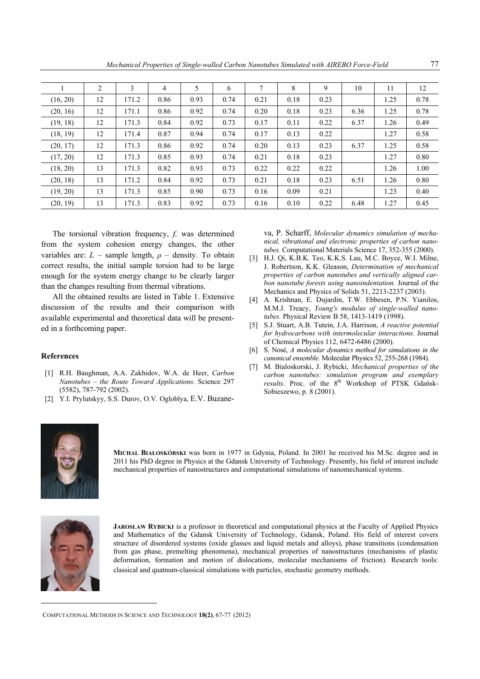*Mechanical Properties of Single-walled Carbon Nanotubes Simulated with AIREBO Force-Field* 77

|          | 2  | 3     | 4    | 5    | 6    | 7    | 8    | 9    | 10   | 11   | 12   |
|----------|----|-------|------|------|------|------|------|------|------|------|------|
| (16, 20) | 12 | 171.2 | 0.86 | 0.93 | 0.74 | 0.21 | 0.18 | 0.23 |      | 1.25 | 0.78 |
| (20, 16) | 12 | 171.1 | 0.86 | 0.92 | 0.74 | 0.20 | 0.18 | 0.23 | 6.36 | 1.25 | 0.78 |
| (19, 18) | 12 | 171.3 | 0.84 | 0.92 | 0.73 | 0.17 | 0.11 | 0.22 | 6.37 | 1.26 | 0.49 |
| (18, 19) | 12 | 171.4 | 0.87 | 0.94 | 0.74 | 0.17 | 0.13 | 0.22 |      | 1.27 | 0.58 |
| (20, 17) | 12 | 171.3 | 0.86 | 0.92 | 0.74 | 0.20 | 0.13 | 0.23 | 6.37 | 1.25 | 0.58 |
| (17, 20) | 12 | 171.3 | 0.85 | 0.93 | 0.74 | 0.21 | 0.18 | 0.23 |      | 1.27 | 0.80 |
| (18, 20) | 13 | 171.3 | 0.82 | 0.93 | 0.73 | 0.22 | 0.22 | 0.22 |      | 1.26 | 1.00 |
| (20, 18) | 13 | 171.2 | 0.84 | 0.92 | 0.73 | 0.21 | 0.18 | 0.23 | 6.51 | 1.26 | 0.80 |
| (19, 20) | 13 | 171.3 | 0.85 | 0.90 | 0.73 | 0.16 | 0.09 | 0.21 |      | 1.23 | 0.40 |
| (20, 19) | 13 | 171.3 | 0.83 | 0.92 | 0.73 | 0.16 | 0.10 | 0.22 | 6.48 | 1.27 | 0.45 |

The torsional vibration frequency, *f,* was determined from the system cohesion energy changes, the other variables are:  $L$  – sample length,  $\rho$  – density. To obtain correct results, the initial sample torsion had to be large enough for the system energy change to be clearly larger than the changes resulting from thermal vibrations.

All the obtained results are listed in Table 1. Extensive discussion of the results and their comparison with available experimental and theoretical data will be presented in a forthcoming paper.

## **References**

- [1] R.H. Baughman, A.A. Zakhidov, W.A. de Heer, *Carbon Nanotubes – the Route Toward Applications.* Science 297 (5582), 787-792 (2002).
- [2] Y.I. Prylutskyy, S.S. Durov, O.V. Ogloblya, E.V. Buzane-

va, P. Scharff, *Molecular dynamics simulation of mechanical, vibrational and electronic properties of carbon nanotubes.* Computational Materials Science 17, 352-355 (2000).

- [3] H.J. Qi, K.B.K. Teo, K.K.S. Lau, M.C. Boyce, W.I. Milne, J. Robertson, K.K. Gleason, *Determination of mechanical properties of carbon nanotubes and vertically aligned carbon nanotube forests using nanoindentation.* Journal of the Mechanics and Physics of Solids 51, 2213-2237 (2003).
- [4] A. Krishnan, E. Dujardin, T.W. Ebbesen, P.N. Yianilos, M.M.J. Treacy, *Young's modulus of single-walled nanotubes.* Physical Review B 58, 1413-1419 (1998).
- [5] S.J. Stuart, A.B. Tutein, J.A. Harrison, *A reactive potential for hydrocarbons with intermolecular interactions.* Journal of Chemical Physics 112, 6472-6486 (2000).
- [6] S. Nosé, *A molecular dynamics method for simulations in the canonical ensemble.* Molecular Physics 52, 255-268 (1984).
- [7] M. Bialoskorski, J. Rybicki, *Mechanical properties of the carbon nanotubes: simulation program and exemplary*  results. Proc. of the 8<sup>th</sup> Workshop of PTSK Gdańsk-Sobieszewo, p. 8 (2001).



**MICHAL BIAŁOSKÓRSKI** was born in 1977 in Gdynia, Poland. In 2001 he received his M.Sc. degree and in 2011 his PhD degree in Physics at the Gdansk University of Technology. Presently, his field of interest include mechanical properties of nanostructures and computational simulations of nanomechanical systems.



**JAROSŁAW RYBICKI** is a professor in theoretical and computational physics at the Faculty of Applied Physics and Mathematics of the Gdansk University of Technology, Gdansk, Poland. His field of interest covers structure of disordered systems (oxide glasses and liquid metals and alloys), phase transitions (condensation from gas phase, premelting phenomena), mechanical properties of nanostructures (mechanisms of plastic deformation, formation and motion of dislocations, molecular mechanisms of friction). Research tools: classical and quatnum-classical simulations with particles, stochastic geometry methods.

COMPUTATIONAL METHODS IN SCIENCE AND TECHNOLOGY **18(2)**, 67-77 (2012)